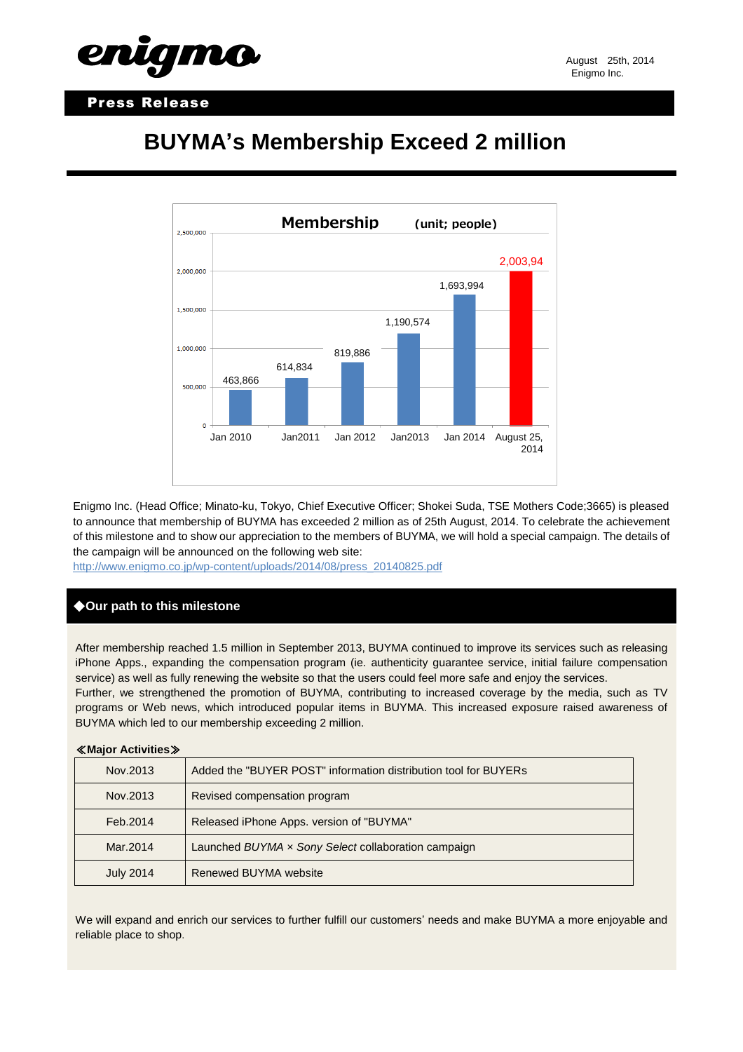### Press Release

# **BUYMA's Membership Exceed 2 million**

661



Enigmo Inc. (Head Office; Minato-ku, Tokyo, Chief Executive Officer; Shokei Suda, TSE Mothers Code;3665) is pleased to announce that membership of BUYMA has exceeded 2 million as of 25th August, 2014. To celebrate the achievement of this milestone and to show our appreciation to the members of BUYMA, we will hold a special campaign. The details of the campaign will be announced on the following web site:

[http://www.enigmo.co.jp/wp-content/uploads/2014/08/press\\_20140825.pdf](http://www.enigmo.co.jp/wp-content/uploads/2014/08/press_20140825.pdf)

### ◆**Our path to this milestone**

After membership reached 1.5 million in September 2013, BUYMA continued to improve its services such as releasing iPhone Apps., expanding the compensation program (ie. authenticity guarantee service, initial failure compensation service) as well as fully renewing the website so that the users could feel more safe and enjoy the services.

Further, we strengthened the promotion of BUYMA, contributing to increased coverage by the media, such as TV programs or Web news, which introduced popular items in BUYMA. This increased exposure raised awareness of BUYMA which led to our membership exceeding 2 million.

## ≪**Major Activities**≫ Nov.2013 **Added the "BUYER POST"** information distribution tool for BUYERs Nov.2013 Revised compensation program Feb.2014 Released iPhone Apps. version of "BUYMA" Mar.2014 Launched *BUYMA × Sony Select* collaboration campaign July 2014 Renewed BUYMA website

We will expand and enrich our services to further fulfill our customers' needs and make BUYMA a more enjoyable and reliable place to shop.